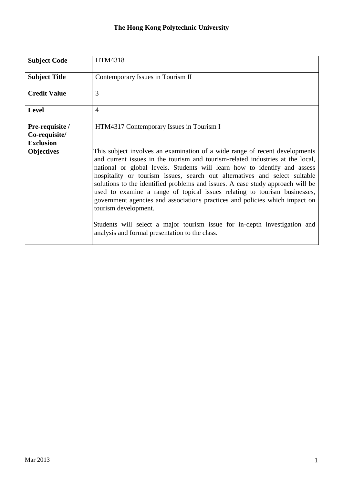## **The Hong Kong Polytechnic University**

| <b>Subject Code</b>  | HTM4318                                                                                                                                                                                                                                                                                                                                                                                                                                                                                                                                                                                                                                                                                                                       |
|----------------------|-------------------------------------------------------------------------------------------------------------------------------------------------------------------------------------------------------------------------------------------------------------------------------------------------------------------------------------------------------------------------------------------------------------------------------------------------------------------------------------------------------------------------------------------------------------------------------------------------------------------------------------------------------------------------------------------------------------------------------|
| <b>Subject Title</b> | Contemporary Issues in Tourism II                                                                                                                                                                                                                                                                                                                                                                                                                                                                                                                                                                                                                                                                                             |
| <b>Credit Value</b>  | 3                                                                                                                                                                                                                                                                                                                                                                                                                                                                                                                                                                                                                                                                                                                             |
| <b>Level</b>         | $\overline{4}$                                                                                                                                                                                                                                                                                                                                                                                                                                                                                                                                                                                                                                                                                                                |
| Pre-requisite /      | HTM4317 Contemporary Issues in Tourism I                                                                                                                                                                                                                                                                                                                                                                                                                                                                                                                                                                                                                                                                                      |
| Co-requisite/        |                                                                                                                                                                                                                                                                                                                                                                                                                                                                                                                                                                                                                                                                                                                               |
| <b>Exclusion</b>     |                                                                                                                                                                                                                                                                                                                                                                                                                                                                                                                                                                                                                                                                                                                               |
| <b>Objectives</b>    | This subject involves an examination of a wide range of recent developments<br>and current issues in the tourism and tourism-related industries at the local,<br>national or global levels. Students will learn how to identify and assess<br>hospitality or tourism issues, search out alternatives and select suitable<br>solutions to the identified problems and issues. A case study approach will be<br>used to examine a range of topical issues relating to tourism businesses,<br>government agencies and associations practices and policies which impact on<br>tourism development.<br>Students will select a major tourism issue for in-depth investigation and<br>analysis and formal presentation to the class. |